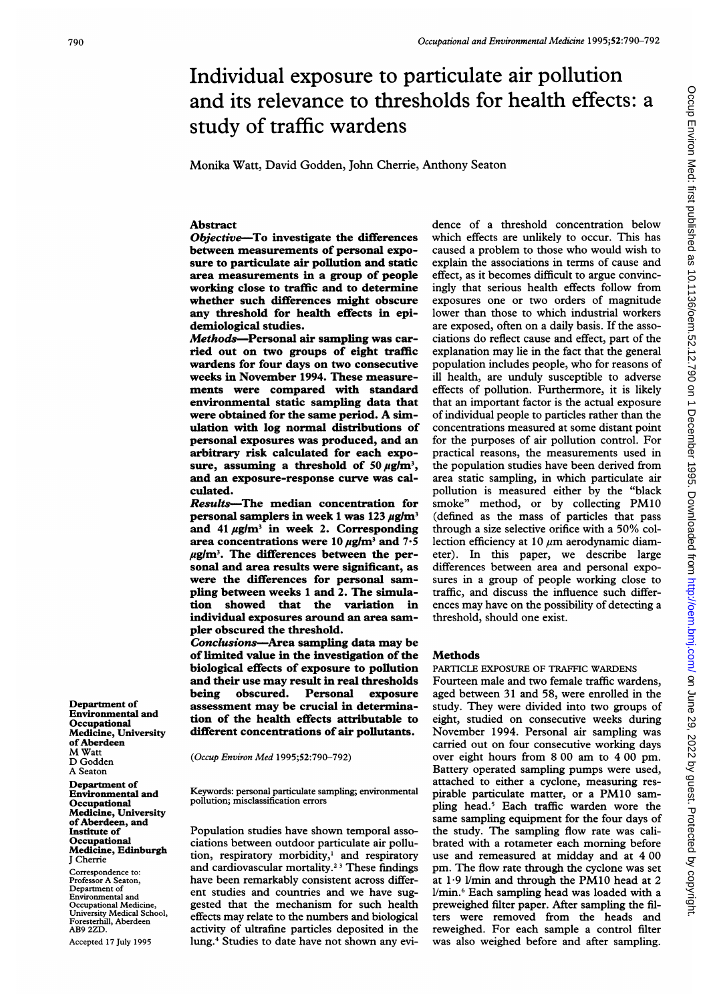# Individual exposure to particulate air pollution and its relevance to thresholds for health effects: a study of traffic wardens

Monika Watt, David Godden, John Cherrie, Anthony Seaton

## Abstract

Objective-To investigate the differences between measurements of personal exposure to particulate air pollution and static area measurements in a group of people working close to traffic and to determine whether such differences might obscure any threshold for health effects in epidemiological studies.

Methods-Personal air sampling was carried out on two groups of eight traffic wardens for four days on two consecutive weeks in November 1994. These measurements were compared with standard environmental static sampling data that were obtained for the same period. A simulation with log normal distributions of personal exposures was produced, and an arbitrary risk calculated for each exposure, assuming a threshold of 50  $\mu$ g/m<sup>3</sup>, and an exposure-response curve was calculated.

Results-The median concentration for personal samplers in week 1 was 123  $\mu$ g/m<sup>3</sup> and  $41 \mu\text{g/m}^3$  in week 2. Corresponding area concentrations were 10  $\mu$ g/m<sup>3</sup> and 7.5  $\mu$ g/m<sup>3</sup>. The differences between the personal and area results were significant, as were the differences for personal sampling between weeks <sup>1</sup> and 2. The simulation showed that the variation in individual exposures around an area sampler obscured the threshold.

Conclusions-Area sampling data may be of limited value in the investigation of the biological effects of exposure to pollution and their use may result in real thresholds<br>being obscured. Personal exposure obscured. Personal assessment may be crucial in determination of the health effects attributable to different concentrations of air pollutants.

(Occup Environ Med 1995;52:790-792)

Keywords: personal particulate sampling; environmental pollution; misclassification errors

Population studies have shown temporal associations between outdoor particulate air pollution, respiratory morbidity,' and respiratory and cardiovascular mortality.23 These findings have been remarkably consistent across different studies and countries and we have suggested that the mechanism for such health effects may relate to the numbers and biological activity of ultrafine particles deposited in the lung.4 Studies to date have not shown any evidence of a threshold concentration below which effects are unlikely to occur. This has caused a problem to those who would wish to explain the associations in terms of cause and effect, as it becomes difficult to argue convincingly that serious health effects follow from exposures one or two orders of magnitude lower than those to which industrial workers are exposed, often on a daily basis. If the associations do reflect cause and effect, part of the explanation may lie in the fact that the general population includes people, who for reasons of ill health, are unduly susceptible to adverse effects of pollution. Furthermore, it is likely that an important factor is the actual exposure of individual people to particles rather than the concentrations measured at some distant point for the purposes of air pollution control. For practical reasons, the measurements used in the population studies have been derived from area static sampling, in which particulate air pollution is measured either by the "black smoke" method, or by collecting PM10 (defined as the mass of particles that pass through <sup>a</sup> size selective orifice with <sup>a</sup> 50% collection efficiency at 10  $\mu$ m aerodynamic diameter). In this paper, we describe large differences between area and personal exposures in a group of people working close to traffic, and discuss the influence such differences may have on the possibility of detecting <sup>a</sup> threshold, should one exist.

#### Methods

PARTICLE EXPOSURE OF TRAFFIC WARDENS

Fourteen male and two female traffic wardens, aged between 31 and 58, were enrolled in the study. They were divided into two groups of eight, studied on consecutive weeks during November 1994. Personal air sampling was carried out on four consecutive working days over eight hours from 8 00 am to 4 00 pm. Battery operated sampling pumps were used, attached to either a cyclone, measuring respirable particulate matter, or <sup>a</sup> PM10 sampling head.5 Each traffic warden wore the same sampling equipment for the four days of the study. The sampling flow rate was calibrated with a rotameter each morning before use and remeasured at midday and at 4 00 pm. The flow rate through the cyclone was set at  $1.9$  *l*/min and through the PM10 head at 2 I/min.' Each sampling head was loaded with a preweighed filter paper. After sampling the filters were removed from the heads and reweighed. For each sample a control filter was also weighed before and after sampling.

Department of Environmental and Occupational Medicine, University of Aberdeen M Watt D Godden A Seaton

Department of Environmental and **Occupational** Medicine, University of Aberdeen, and Institute of **Occupational** Medicine, Edinburgh J Cherrie

Correspondence to: Professor A Seaton, Department of Environmental and Occupational Medicine, University Medical School, n ersny meentem oor<br>esterhill, Aberdeen AB9 2ZD.

Accepted 17 July 1995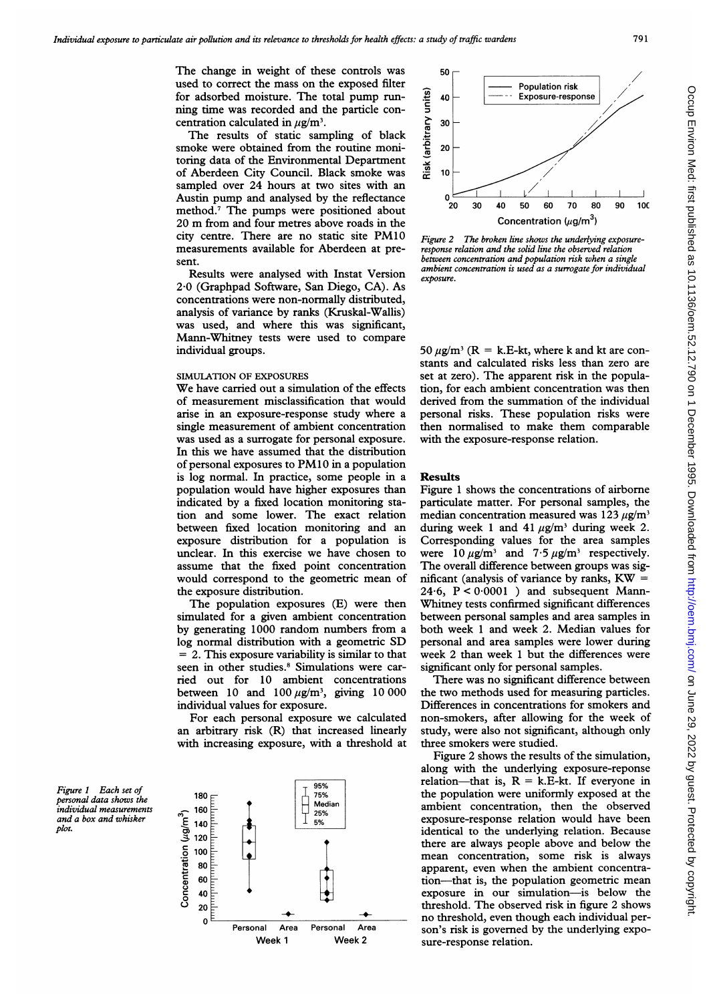The change in weight of these controls was used to correct the mass on the exposed filter for adsorbed moisture. The total pump running time was recorded and the particle concentration calculated in  $\mu$ g/m<sup>3</sup>.

The results of static sampling of black smoke were obtained from the routine monitoring data of the Environmental Department of Aberdeen City Council. Black smoke was sampled over 24 hours at two sites with an Austin pump and analysed by the reflectance method.7 The pumps were positioned about <sup>20</sup> m from and four metres above roads in the city centre. There are no static site PM10 measurements available for Aberdeen at present.

Results were analysed with Instat Version 2-0 (Graphpad Software, San Diego, CA). As concentrations were non-normally distributed, analysis of variance by ranks (Kruskal-Wallis) was used, and where this was significant, Mann-Whitney tests were used to compare individual groups.

### SIMULATION OF EXPOSURES

We have carried out <sup>a</sup> simulation of the effects of measurement misclassification that would arise in an exposure-response study where a single measurement of ambient concentration was used as a surrogate for personal exposure. In this we have assumed that the distribution of personal exposures to PM10 in <sup>a</sup> population is log normal. In practice, some people in a population would have higher exposures than indicated by a fixed location monitoring station and some lower. The exact relation between fixed location monitoring and an exposure distribution for a population is unclear. In this exercise we have chosen to assume that the fixed point concentration would correspond to the geometric mean of the exposure distribution.

The population exposures (E) were then simulated for a given ambient concentration by generating 1000 random numbers from a log normal distribution with <sup>a</sup> geometric SD = 2. This exposure variability is similar to that seen in other studies.<sup>8</sup> Simulations were carried out for 10 ambient concentrations between 10 and 100  $\mu$ g/m<sup>3</sup>, giving 10 000 individual values for exposure.

For each personal exposure we calculated an arbitrary risk (R) that increased linearly with increasing exposure, with a threshold at

Figure <sup>1</sup> Each set of personal data shows the individual measurements and a box and whisker plot.





Figure 2 The broken line shows the underlying exposureresponse relation and the solid line the observed relation between concentration and population risk when a single ambient concentration is used as a surrogate for individual exposure.

50  $\mu$ g/m<sup>3</sup> (R = k.E-kt, where k and kt are constants and calculated risks less than zero are set at zero). The apparent risk in the population, for each ambient concentration was then derived from the summation of the individual personal risks. These population risks were then normalised to make them comparable with the exposure-response relation.

#### Results

Figure <sup>1</sup> shows the concentrations of airborne particulate matter. For personal samples, the median concentration measured was  $123 \mu g/m^3$ during week 1 and 41  $\mu$ g/m<sup>3</sup> during week 2. Corresponding values for the area samples were  $10 \mu g/m^3$  and  $7.5 \mu g/m^3$  respectively. The overall difference between groups was significant (analysis of variance by ranks,  $KW =$ 24.6,  $P < 0.0001$  ) and subsequent Mann-Whitney tests confirmed significant differences between personal samples and area samples in both week <sup>1</sup> and week 2. Median values for personal and area samples were lower during week 2 than week <sup>1</sup> but the differences were significant only for personal samples.

There was no significant difference between the two methods used for measuring particles. Differences in concentrations for smokers and non-smokers, after allowing for the week of study, were also not significant, although only three smokers were studied.

Figure 2 shows the results of the simulation, along with the underlying exposure-reponse relation-that is,  $R = k.E-kt$ . If everyone in the population were uniformly exposed at the ambient concentration, then the observed exposure-response relation would have been identical to the underlying relation. Because there are always people above and below the mean concentration, some risk is always apparent, even when the ambient concentration-that is, the population geometric mean exposure in our simulation-is below the threshold. The observed risk in figure 2 shows no threshold, even though each individual person's risk is governed by the underlying exposure-response relation.